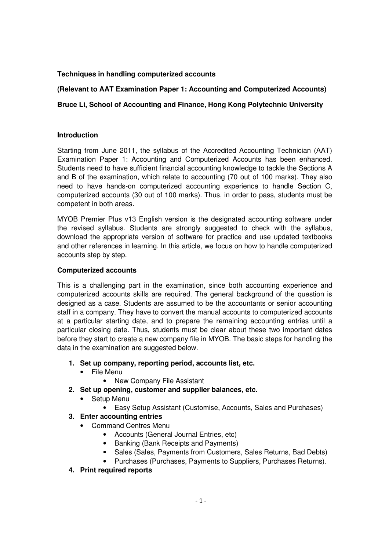# **Techniques in handling computerized accounts**

## **(Relevant to AAT Examination Paper 1: Accounting and Computerized Accounts)**

## **Bruce Li, School of Accounting and Finance, Hong Kong Polytechnic University**

### **Introduction**

Starting from June 2011, the syllabus of the Accredited Accounting Technician (AAT) Examination Paper 1: Accounting and Computerized Accounts has been enhanced. Students need to have sufficient financial accounting knowledge to tackle the Sections A and B of the examination, which relate to accounting (70 out of 100 marks). They also need to have hands-on computerized accounting experience to handle Section C, computerized accounts (30 out of 100 marks). Thus, in order to pass, students must be competent in both areas.

MYOB Premier Plus v13 English version is the designated accounting software under the revised syllabus. Students are strongly suggested to check with the syllabus, download the appropriate version of software for practice and use updated textbooks and other references in learning. In this article, we focus on how to handle computerized accounts step by step.

#### **Computerized accounts**

This is a challenging part in the examination, since both accounting experience and computerized accounts skills are required. The general background of the question is designed as a case. Students are assumed to be the accountants or senior accounting staff in a company. They have to convert the manual accounts to computerized accounts at a particular starting date, and to prepare the remaining accounting entries until a particular closing date. Thus, students must be clear about these two important dates before they start to create a new company file in MYOB. The basic steps for handling the data in the examination are suggested below.

- **1. Set up company, reporting period, accounts list, etc.** 
	- File Menu
		- New Company File Assistant
- **2. Set up opening, customer and supplier balances, etc.** 
	- Setup Menu
		- Easy Setup Assistant (Customise, Accounts, Sales and Purchases)
- **3. Enter accounting entries** 
	- Command Centres Menu
		- Accounts (General Journal Entries, etc)
		- Banking (Bank Receipts and Payments)
		- Sales (Sales, Payments from Customers, Sales Returns, Bad Debts)
		- Purchases (Purchases, Payments to Suppliers, Purchases Returns).
- **4. Print required reports**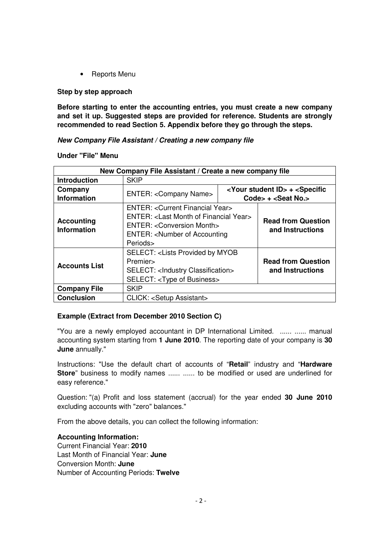• Reports Menu

### **Step by step approach**

**Before starting to enter the accounting entries, you must create a new company and set it up. Suggested steps are provided for reference. Students are strongly recommended to read Section 5. Appendix before they go through the steps.** 

**New Company File Assistant / Creating a new company file** 

**Under "File" Menu** 

| New Company File Assistant / Create a new company file |                                                                                                                                                                                                                                                              |  |                                               |  |
|--------------------------------------------------------|--------------------------------------------------------------------------------------------------------------------------------------------------------------------------------------------------------------------------------------------------------------|--|-----------------------------------------------|--|
| <b>Introduction</b>                                    | <b>SKIP</b>                                                                                                                                                                                                                                                  |  |                                               |  |
| Company<br><b>Information</b>                          | <your id="" student=""> + <specific<br><b>ENTER: &lt; Company Name&gt;</b><br/>Code&gt; <math>+</math> <seat no.=""></seat></specific<br></your>                                                                                                             |  |                                               |  |
| <b>Accounting</b><br><b>Information</b>                | ENTER: < Current Financial Year><br>ENTER: <last financial="" month="" of="" year=""><br/>ENTER: &lt; Conversion Month&gt;<br/>ENTER: <number accounting<="" of="" th=""><th colspan="2"><b>Read from Question</b><br/>and Instructions</th></number></last> |  | <b>Read from Question</b><br>and Instructions |  |
| <b>Accounts List</b>                                   | Periods><br><b>SELECT: <lists b="" by="" myob<="" provided=""><br/>Premier&gt;<br/>SELECT: <lndustry classification=""><br/>SELECT: <type business="" of=""></type></lndustry></lists></b>                                                                   |  | <b>Read from Question</b><br>and Instructions |  |
| <b>Company File</b>                                    | <b>SKIP</b>                                                                                                                                                                                                                                                  |  |                                               |  |
| <b>Conclusion</b>                                      | CLICK: <setup assistant=""></setup>                                                                                                                                                                                                                          |  |                                               |  |

### **Example (Extract from December 2010 Section C)**

"You are a newly employed accountant in DP International Limited. ...... ...... manual accounting system starting from **1 June 2010**. The reporting date of your company is **30 June** annually."

Instructions: "Use the default chart of accounts of "**Retail**" industry and "**Hardware Store**" business to modify names ...... ...... to be modified or used are underlined for easy reference."

Question: "(a) Profit and loss statement (accrual) for the year ended **30 June 2010** excluding accounts with "zero" balances."

From the above details, you can collect the following information:

**Accounting Information:**  Current Financial Year: **2010** Last Month of Financial Year: **June** Conversion Month: **June** Number of Accounting Periods: **Twelve**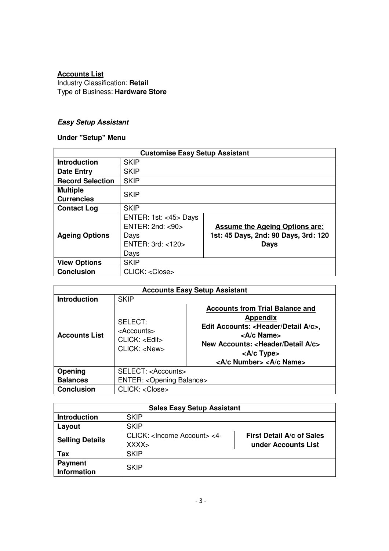# **Accounts List**

Industry Classification: **Retail** Type of Business: **Hardware Store** 

# **Easy Setup Assistant**

# **Under "Setup" Menu**

| <b>Customise Easy Setup Assistant</b> |                             |                                       |  |
|---------------------------------------|-----------------------------|---------------------------------------|--|
| <b>Introduction</b>                   | <b>SKIP</b>                 |                                       |  |
| <b>Date Entry</b>                     | <b>SKIP</b>                 |                                       |  |
| <b>Record Selection</b>               | <b>SKIP</b>                 |                                       |  |
| <b>Multiple</b>                       |                             |                                       |  |
| <b>Currencies</b>                     | <b>SKIP</b>                 |                                       |  |
| <b>Contact Log</b>                    | <b>SKIP</b>                 |                                       |  |
|                                       | ENTER: 1st: $<$ 45 $>$ Days |                                       |  |
|                                       | ENTER: $2nd: < 90$          | <b>Assume the Ageing Options are:</b> |  |
| <b>Ageing Options</b>                 | Days                        | 1st: 45 Days, 2nd: 90 Days, 3rd: 120  |  |
|                                       | ENTER: 3rd: <120>           | Days                                  |  |
|                                       | Days                        |                                       |  |
| <b>View Options</b>                   | <b>SKIP</b>                 |                                       |  |
| <b>Conclusion</b>                     | CLICK: <close></close>      |                                       |  |

| <b>Accounts Easy Setup Assistant</b> |                                                                                  |                                                                                                                                                                                                                                                                                             |  |
|--------------------------------------|----------------------------------------------------------------------------------|---------------------------------------------------------------------------------------------------------------------------------------------------------------------------------------------------------------------------------------------------------------------------------------------|--|
| <b>Introduction</b>                  | <b>SKIP</b>                                                                      |                                                                                                                                                                                                                                                                                             |  |
| <b>Accounts List</b>                 | SELECT:<br><accounts><br/>CLICK: &lt; <i>Edit</i><br/>CLICK: &lt; New</accounts> | <b>Accounts from Trial Balance and</b><br>Appendix<br>Edit Accounts: <header a="" c="" detail="">,<br/><a c="" name=""><br/>New Accounts: <header a="" c="" detail=""><br/><math>&lt;</math>A/c Type<math>&gt;</math><br/><a c="" number=""> <a c="" name=""></a></a></header></a></header> |  |
| Opening                              | SELECT: <accounts></accounts>                                                    |                                                                                                                                                                                                                                                                                             |  |
| <b>Balances</b>                      | <b>ENTER: &lt; Opening Balance&gt;</b>                                           |                                                                                                                                                                                                                                                                                             |  |
| <b>Conclusion</b>                    | CLICK: <close></close>                                                           |                                                                                                                                                                                                                                                                                             |  |

| <b>Sales Easy Setup Assistant</b> |                                                        |                                                         |  |
|-----------------------------------|--------------------------------------------------------|---------------------------------------------------------|--|
| <b>Introduction</b>               | <b>SKIP</b>                                            |                                                         |  |
| Layout                            | <b>SKIP</b>                                            |                                                         |  |
| <b>Selling Details</b>            | CLICK: <lncome account=""> &lt;4-<br/>XXX&gt;</lncome> | <b>First Detail A/c of Sales</b><br>under Accounts List |  |
| Tax                               | <b>SKIP</b>                                            |                                                         |  |
| <b>Payment</b><br>Information     | <b>SKIP</b>                                            |                                                         |  |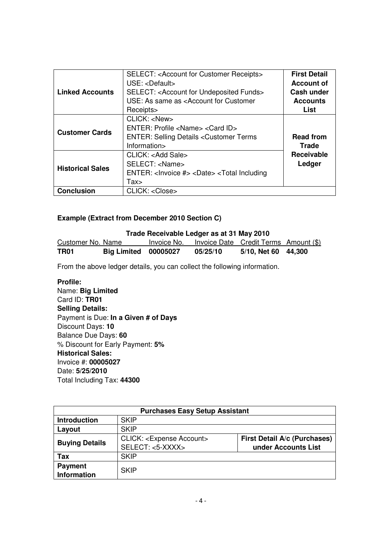| <b>Linked Accounts</b>  | <b>SELECT: &lt; Account for Customer Receipts&gt;</b><br>$USE: <$ Default><br>SELECT: < Account for Undeposited Funds><br>USE: As same as <account customer<br="" for="">Receipts&gt;</account> | <b>First Detail</b><br><b>Account of</b><br><b>Cash under</b><br><b>Accounts</b><br>List |
|-------------------------|-------------------------------------------------------------------------------------------------------------------------------------------------------------------------------------------------|------------------------------------------------------------------------------------------|
| <b>Customer Cards</b>   | CLICK: <new><br/>ENTER: Profile <name> <card id=""><br/><b>ENTER: Selling Details &lt; Customer Terms</b><br/>Information&gt;</card></name></new>                                               | <b>Read from</b><br>Trade                                                                |
| <b>Historical Sales</b> | CLICK: <add sale=""><br/>SELECT: <name><br/>ENTER: <invoice #=""> <date> <total including<br="">Tax</total></date></invoice></name></add>                                                       | <b>Receivable</b><br>Ledger                                                              |
| <b>Conclusion</b>       | CLICK: <close></close>                                                                                                                                                                          |                                                                                          |

# **Example (Extract from December 2010 Section C)**

| Trade Receivable Ledger as at 31 May 2010 |                             |             |                                       |                     |  |
|-------------------------------------------|-----------------------------|-------------|---------------------------------------|---------------------|--|
| Customer No. Name                         |                             | Invoice No. | Invoice Date Credit Terms Amount (\$) |                     |  |
| TR01                                      | <b>Big Limited 00005027</b> |             | 05/25/10                              | 5/10, Net 60 44,300 |  |

From the above ledger details, you can collect the following information.

# **Profile:**

Name: **Big Limited** Card ID: **TR01 Selling Details:**  Payment is Due: **In a Given # of Days** Discount Days: **10** Balance Due Days: **60** % Discount for Early Payment: **5% Historical Sales:** Invoice #: **00005027** Date: **5/25/2010** Total Including Tax: **44300** 

| <b>Purchases Easy Setup Assistant</b> |                                                                  |                                                            |  |
|---------------------------------------|------------------------------------------------------------------|------------------------------------------------------------|--|
| <b>Introduction</b>                   | <b>SKIP</b>                                                      |                                                            |  |
| Layout                                | <b>SKIP</b>                                                      |                                                            |  |
| <b>Buying Details</b>                 | CLICK: <expense account=""><br/>SELECT: &lt;5-XXXX&gt;</expense> | <b>First Detail A/c (Purchases)</b><br>under Accounts List |  |
| Tax                                   | <b>SKIP</b>                                                      |                                                            |  |
| <b>Payment</b><br>Information         | <b>SKIP</b>                                                      |                                                            |  |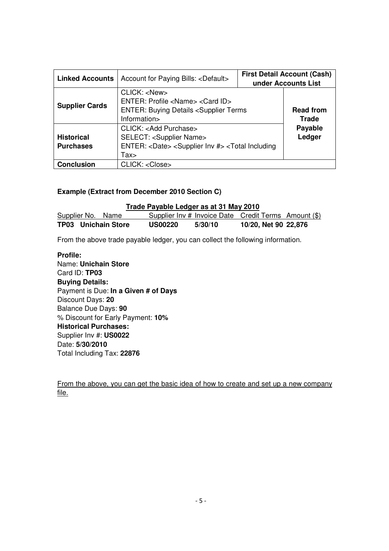| <b>Linked Accounts</b>                | Account for Paying Bills: <default></default>                                                                                                                       | <b>First Detail Account (Cash)</b><br>under Accounts List |                                  |
|---------------------------------------|---------------------------------------------------------------------------------------------------------------------------------------------------------------------|-----------------------------------------------------------|----------------------------------|
| <b>Supplier Cards</b>                 | CLICK: <new><br/>ENTER: Profile <name> <card id=""><br/><b>ENTER: Buying Details <supplier b="" terms<=""><br/>Information&gt;</supplier></b></card></name></new>   |                                                           | <b>Read from</b><br><b>Trade</b> |
| <b>Historical</b><br><b>Purchases</b> | CLICK: < Add Purchase><br><b>SELECT: <supplier name=""></supplier></b><br>ENTER: <date> <supplier #="" inv=""> <total including<br="">Tax</total></supplier></date> |                                                           | Payable<br>Ledger                |
| <b>Conclusion</b>                     | CLICK: <close></close>                                                                                                                                              |                                                           |                                  |

### **Example (Extract from December 2010 Section C)**

 **Trade Payable Ledger as at 31 May 2010** Supplier No. Name Supplier Inv # Invoice Date Credit Terms Amount (\$) **TP03 Unichain Store US00220 5/30/10 10/20, Net 90 22,876** 

From the above trade payable ledger, you can collect the following information.

**Profile:**  Name: **Unichain Store** Card ID: **TP03 Buying Details:**  Payment is Due: **In a Given # of Days** Discount Days: **20** Balance Due Days: **90** % Discount for Early Payment: **10% Historical Purchases:** Supplier Inv #: **US0022** Date: **5/30/2010** Total Including Tax: **22876**

From the above, you can get the basic idea of how to create and set up a new company file.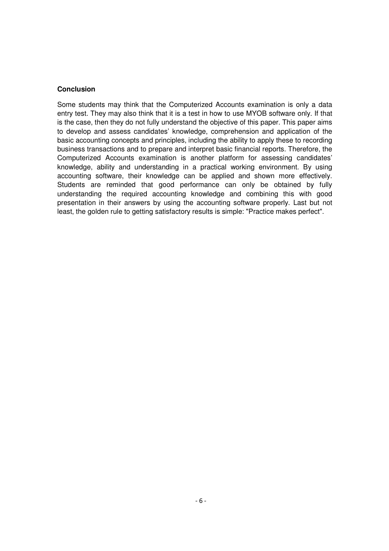#### **Conclusion**

Some students may think that the Computerized Accounts examination is only a data entry test. They may also think that it is a test in how to use MYOB software only. If that is the case, then they do not fully understand the objective of this paper. This paper aims to develop and assess candidates' knowledge, comprehension and application of the basic accounting concepts and principles, including the ability to apply these to recording business transactions and to prepare and interpret basic financial reports. Therefore, the Computerized Accounts examination is another platform for assessing candidates' knowledge, ability and understanding in a practical working environment. By using accounting software, their knowledge can be applied and shown more effectively. Students are reminded that good performance can only be obtained by fully understanding the required accounting knowledge and combining this with good presentation in their answers by using the accounting software properly. Last but not least, the golden rule to getting satisfactory results is simple: "Practice makes perfect".